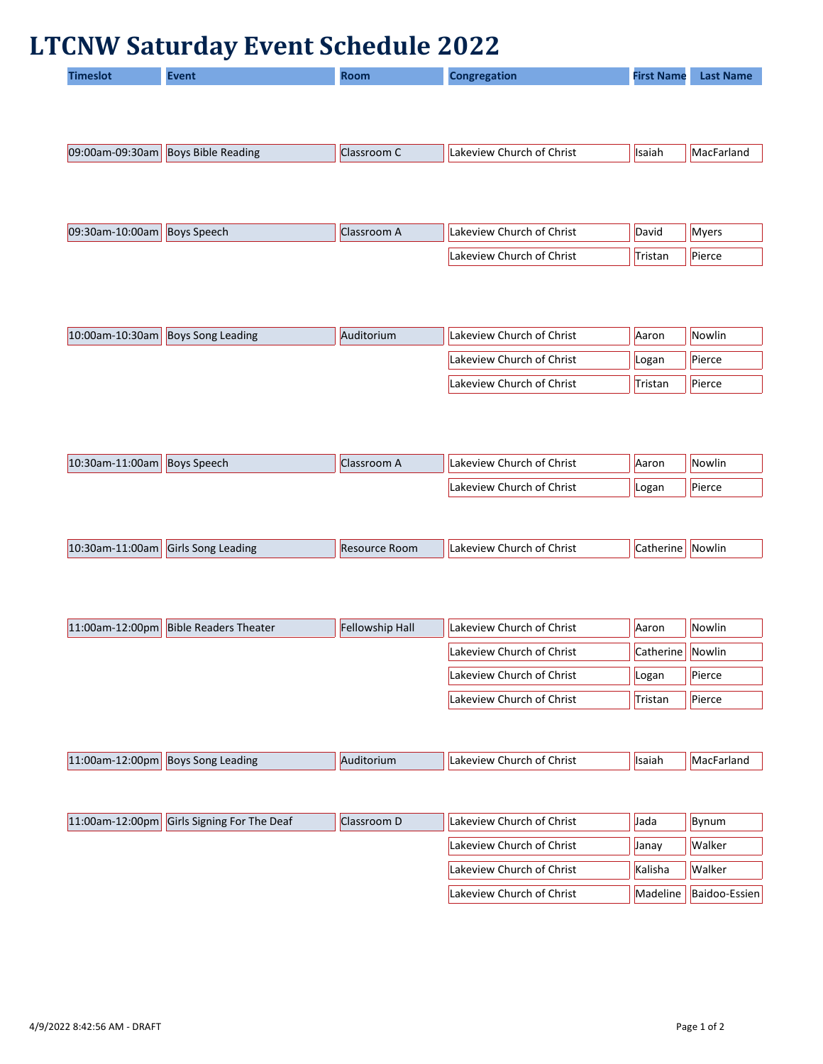## **LTCNW Saturday Event Schedule 2022**

| <b>Timeslot</b> | Event | <b>Room</b> | <b>Congregation</b> | <b>First Name</b> | <b>Last Name</b> |
|-----------------|-------|-------------|---------------------|-------------------|------------------|
|                 |       |             |                     |                   |                  |
|                 |       |             |                     |                   |                  |

| $ 09:00$ am-09:30am | <b>Boys Bible Reading</b> | Llassroom C | Church of Christ<br>Lakeview | <b>Isaiah</b> | <b>MacFarland</b> |
|---------------------|---------------------------|-------------|------------------------------|---------------|-------------------|
|                     |                           |             |                              |               |                   |

| 09:30am-10:00am | <b>Boys Speech</b> | Classroom A | Lakeview Church of Christ | David          | <b>Myers</b> |
|-----------------|--------------------|-------------|---------------------------|----------------|--------------|
|                 |                    |             | Lakeview Church of Christ | <b>Tristan</b> | Pierce       |

| 10:00am-10:30am   Boys Song Leading | Auditorium | Lakeview Church of Christ | Aaron   | Nowlin |
|-------------------------------------|------------|---------------------------|---------|--------|
|                                     |            | Lakeview Church of Christ | Logan   | Pierce |
|                                     |            | Lakeview Church of Christ | Tristan | Pierce |

| 10:30am-11:00am | Boys Speech | Lakeview Church of Christ | <b>Aaron</b> | <b>Nowlin</b> |
|-----------------|-------------|---------------------------|--------------|---------------|
|                 |             | Lakeview Church of Christ | Logan        | Pierce        |

| $10:30$ am-1<br>s Song Leading<br>of Christ ا<br>Room<br><b>ILakeview</b><br><b>INOWIIN</b> |
|---------------------------------------------------------------------------------------------|
|---------------------------------------------------------------------------------------------|

| 11:00am-12:00pm Bible Readers Theater | <b>Fellowship Hall</b> | Lakeview Church of Christ | Aaron            | Nowlin |
|---------------------------------------|------------------------|---------------------------|------------------|--------|
|                                       |                        | Lakeview Church of Christ | Catherine Nowlin |        |
|                                       |                        | Lakeview Church of Christ | Logan            | Pierce |
|                                       |                        | Lakeview Church of Christ | Tristan          | Pierce |

| 11:00am-<br>≀∙∩∩nm<br>. Song Leading<br><b>IROVS</b> | oriur. | Christ<br>∟akeview<br>, nurch<br>rch ot | llsaiah | IMar<br>$\sim$ $\sim$ $\sim$<br>ыш |
|------------------------------------------------------|--------|-----------------------------------------|---------|------------------------------------|
|------------------------------------------------------|--------|-----------------------------------------|---------|------------------------------------|

| 11:00am-12:00pm Girls Signing For The Deaf | Classroom D | Lakeview Church of Christ | <b>Jada</b>  | Bynum         |
|--------------------------------------------|-------------|---------------------------|--------------|---------------|
|                                            |             | Lakeview Church of Christ | <b>Janav</b> | <b>Walker</b> |
|                                            |             | Lakeview Church of Christ | Kalisha      | <b>Walker</b> |
|                                            |             | Lakeview Church of Christ | Madeline     | Baidoo-Essien |